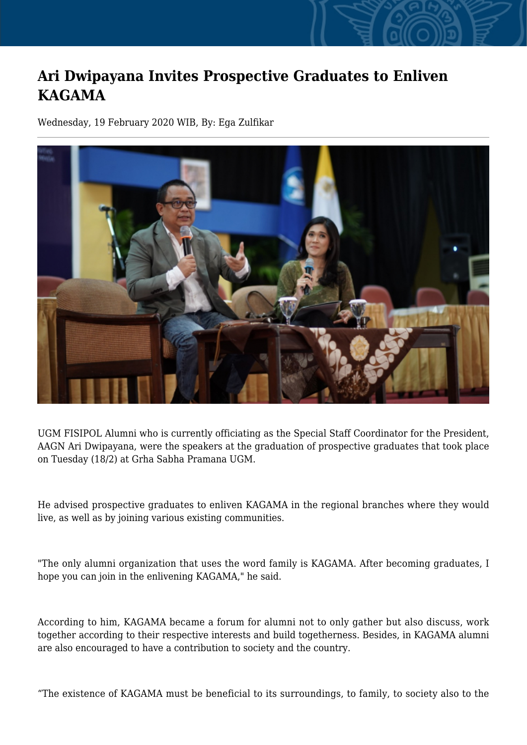## **Ari Dwipayana Invites Prospective Graduates to Enliven KAGAMA**

Wednesday, 19 February 2020 WIB, By: Ega Zulfikar



UGM FISIPOL Alumni who is currently officiating as the Special Staff Coordinator for the President, AAGN Ari Dwipayana, were the speakers at the graduation of prospective graduates that took place on Tuesday (18/2) at Grha Sabha Pramana UGM.

He advised prospective graduates to enliven KAGAMA in the regional branches where they would live, as well as by joining various existing communities.

"The only alumni organization that uses the word family is KAGAMA. After becoming graduates, I hope you can join in the enlivening KAGAMA," he said.

According to him, KAGAMA became a forum for alumni not to only gather but also discuss, work together according to their respective interests and build togetherness. Besides, in KAGAMA alumni are also encouraged to have a contribution to society and the country.

"The existence of KAGAMA must be beneficial to its surroundings, to family, to society also to the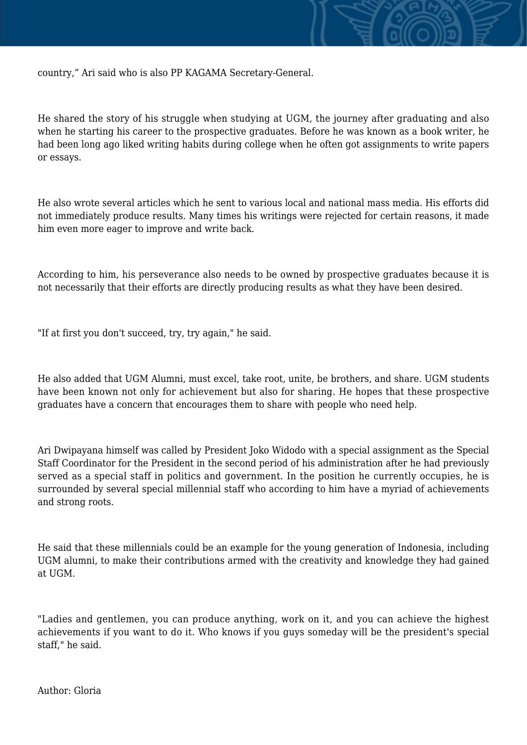

country," Ari said who is also PP KAGAMA Secretary-General.

He shared the story of his struggle when studying at UGM, the journey after graduating and also when he starting his career to the prospective graduates. Before he was known as a book writer, he had been long ago liked writing habits during college when he often got assignments to write papers or essays.

He also wrote several articles which he sent to various local and national mass media. His efforts did not immediately produce results. Many times his writings were rejected for certain reasons, it made him even more eager to improve and write back.

According to him, his perseverance also needs to be owned by prospective graduates because it is not necessarily that their efforts are directly producing results as what they have been desired.

"If at first you don't succeed, try, try again," he said.

He also added that UGM Alumni, must excel, take root, unite, be brothers, and share. UGM students have been known not only for achievement but also for sharing. He hopes that these prospective graduates have a concern that encourages them to share with people who need help.

Ari Dwipayana himself was called by President Joko Widodo with a special assignment as the Special Staff Coordinator for the President in the second period of his administration after he had previously served as a special staff in politics and government. In the position he currently occupies, he is surrounded by several special millennial staff who according to him have a myriad of achievements and strong roots.

He said that these millennials could be an example for the young generation of Indonesia, including UGM alumni, to make their contributions armed with the creativity and knowledge they had gained at UGM.

"Ladies and gentlemen, you can produce anything, work on it, and you can achieve the highest achievements if you want to do it. Who knows if you guys someday will be the president's special staff," he said.